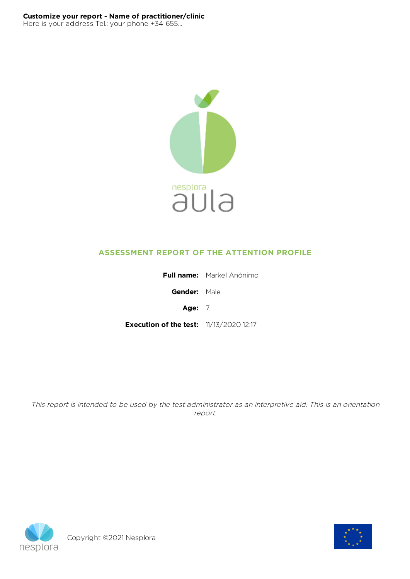

# **ASSESSMENT REPORT OF THE ATTENTION PROFILE**

|                                                | <b>Full name:</b> Markel Anónimo |  |  |  |
|------------------------------------------------|----------------------------------|--|--|--|
| <b>Gender:</b> Male                            |                                  |  |  |  |
| Age: $7$                                       |                                  |  |  |  |
| <b>Execution of the test:</b> 11/13/2020 12:17 |                                  |  |  |  |

This report is intended to be used by the test administrator as an interpretive aid. This is an orientation report.



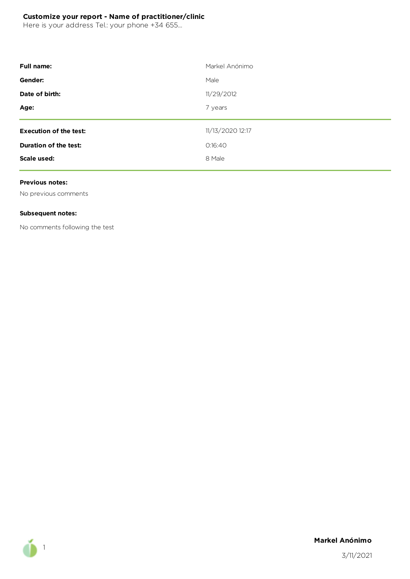Here is your address Tel.: your phone +34 655...

| <b>Full name:</b>             | Markel Anónimo   |
|-------------------------------|------------------|
| Gender:                       | Male             |
| Date of birth:                | 11/29/2012       |
| Age:                          | 7 years          |
|                               |                  |
| <b>Execution of the test:</b> | 11/13/2020 12:17 |
| Duration of the test:         | 0:16:40          |
| Scale used:                   | 8 Male           |

#### **Previous notes:**

No previous comments

#### **Subsequent notes:**

No comments following the test



### **Markel Anónimo**

3/11/2021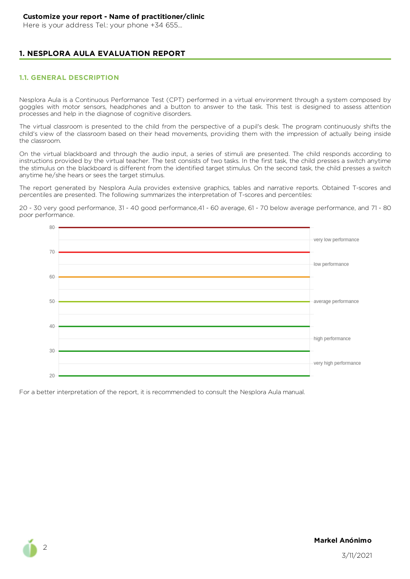Here is your address Tel.: your phone +34 655...

# **1. NESPLORA AULA EVALUATION REPORT**

### **1.1. GENERAL DESCRIPTION**

Nesplora Aula is a Continuous Performance Test (CPT) performed in a virtual environment through a system composed by goggles with motor sensors, headphones and a button to answer to the task. This test is designed to assess attention processes and help in the diagnose of cognitive disorders.

The virtual classroom is presented to the child from the perspective of a pupil's desk. The program continuously shifts the child's view of the classroom based on their head movements, providing them with the impression of actually being inside the classroom.

On the virtual blackboard and through the audio input, a series of stimuli are presented. The child responds according to instructions provided by the virtual teacher. The test consists of two tasks. In the first task, the child presses a switch anytime the stimulus on the blackboard is different from the identified target stimulus. On the second task, the child presses a switch anytime he/she hears or sees the target stimulus.

The report generated by Nesplora Aula provides extensive graphics, tables and narrative reports. Obtained T-scores and percentiles are presented. The following summarizes the interpretation of T-scores and percentiles:

20 - 30 very good performance, 31 - 40 good performance,41 - 60 average, 61 - 70 below average performance, and 71 - 80 poor performance.



For a better interpretation of the report, it is recommended to consult the Nesplora Aula manual.

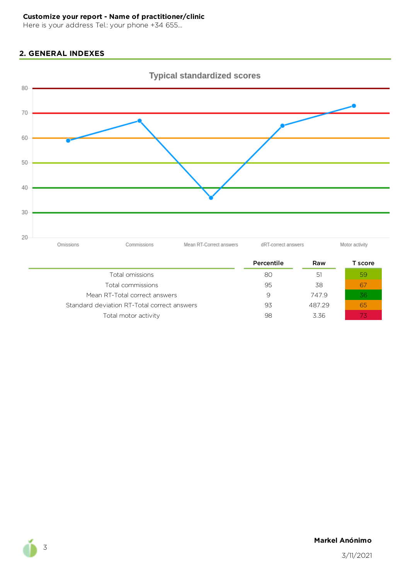Here is your address Tel.: your phone +34 655...

# **2. GENERAL INDEXES**



|                                             | Percentile | Raw    | Г score |
|---------------------------------------------|------------|--------|---------|
| Total omissions                             | 80         | 51     | 59      |
| Total commissions                           | 95         | 38     | 6,      |
| Mean RT-Total correct answers               | 9          | 7479   | 36      |
| Standard deviation RT-Total correct answers | 93         | 487.29 | 65      |
| Total motor activity                        | 98         | 3.36   |         |

**Markel Anónimo**

3/11/2021

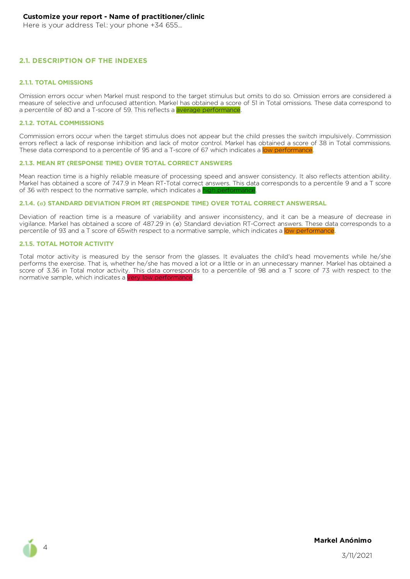Here is your address Tel.: your phone +34 655...

#### **2.1. DESCRIPTION OF THE INDEXES**

#### **2.1.1. TOTAL OMISSIONS**

Omission errors occur when Markel must respond to the target stimulus but omits to do so. Omission errors are considered a measure of selective and unfocused attention. Markel has obtained a score of 51 in Total omissions. These data correspond to a percentile of 80 and a T-score of 59. This reflects a average performance.

#### **2.1.2. TOTAL COMMISSIONS**

Commission errors occur when the target stimulus does not appear but the child presses the switch impulsively. Commission errors reflect a lack of response inhibition and lack of motor control. Markel has obtained a score of 38 in Total commissions. These data correspond to a percentile of 95 and a T-score of 67 which indicates a low performance.

#### **2.1.3. MEAN RT (RESPONSE TIME) OVER TOTAL CORRECT ANSWERS**

Mean reaction time is a highly reliable measure of processing speed and answer consistency. It also reflects attention ability. Markel has obtained a score of 747.9 in Mean RT-Total correct answers. This data corresponds to a percentile 9 and a T score of 36 with respect to the normative sample, which indicates a high performance

#### **2.1.4. (σ) STANDARD DEVIATION FROM RT (RESPONDE TIME) OVER TOTAL CORRECT ANSWERSAL**

Deviation of reaction time is a measure of variability and answer inconsistency, and it can be a measure of decrease in vigilance. Markel has obtained a score of 487.29 in (σ) Standard deviation RT-Correct answers. These data corresponds to a percentile of 93 and a T score of 65 with respect to a normative sample, which indicates a low performance

#### **2.1.5. TOTAL MOTOR ACTIVITY**

Total motor activity is measured by the sensor from the glasses. It evaluates the child's head movements while he/she performs the exercise. That is, whether he/she has moved a lot or a little or in an unnecessary manner. Markel has obtained a score of 3.36 in Total motor activity. This data corresponds to a percentile of 98 and a T score of 73 with respect to the normative sample, which indicates a very low performa



4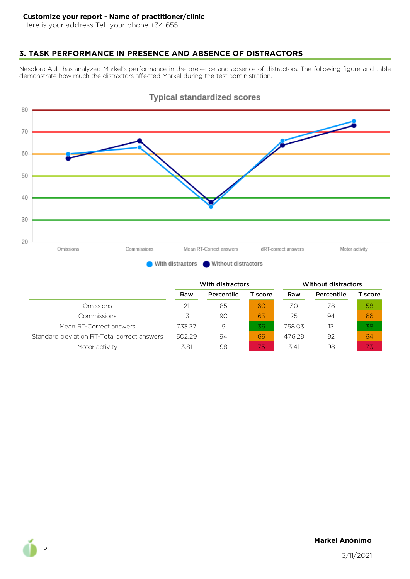Here is your address Tel.: your phone +34 655...

# **3. TASK PERFORMANCE IN PRESENCE AND ABSENCE OF DISTRACTORS**

Nesplora Aula has analyzed Markel's performance in the presence and absence of distractors. The following figure and table demonstrate how much the distractors affected Markel during the test administration.



# **Typical standardized scores**

|                                             | With distractors |            |         | <b>Without distractors</b> |            |         |  |
|---------------------------------------------|------------------|------------|---------|----------------------------|------------|---------|--|
|                                             | Raw              | Percentile | T score | Raw                        | Percentile | T score |  |
| Omissions                                   | 21               | 85         | 60      | 30                         | 78         | 58      |  |
| Commissions                                 | 13               | 90         | 63      | 25                         | 94         | 66      |  |
| Mean RT-Correct answers                     | 733.37           | 9          | 36      | 758.03                     | 13         | 38      |  |
| Standard deviation RT-Total correct answers | 502.29           | 94         | 66      | 476.29                     | 92         | 64      |  |
| Motor activity                              | 3.81             | 98         | 75)     | 3.41                       | 98         | 73      |  |

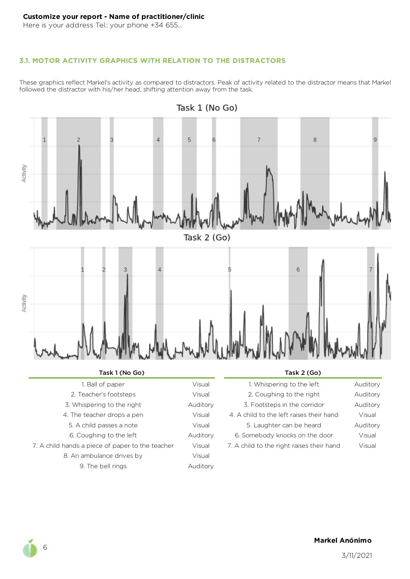Here is your address Tel.: your phone +34 655...

# **3.1. MOTOR ACTIVITY GRAPHICS WITH RELATION TO THE DISTRACTORS**

These graphics reflect Markel's activity as compared to distractors. Peak of activity related to the distractor means that Markel followed the distractor with his/her head, shifting attention away from the task.



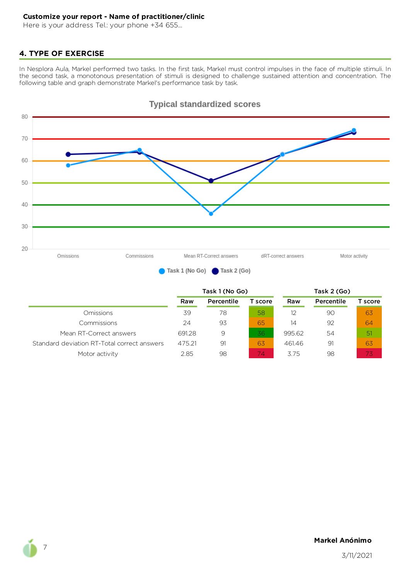Here is your address Tel.: your phone +34 655...

# **4. TYPE OF EXERCISE**

In Nesplora Aula, Markel performed two tasks. In the first task, Markel must control impulses in the face of multiple stimuli. In the second task, a monotonous presentation of stimuli is designed to challenge sustained attention and concentration. The following table and graph demonstrate Markel's performance task by task.



|                                             | Task 1 (No Go) |            |         | Task 2 (Go) |            |         |  |
|---------------------------------------------|----------------|------------|---------|-------------|------------|---------|--|
|                                             | Raw            | Percentile | T score | Raw         | Percentile | T score |  |
| <b>Omissions</b>                            | 39             | 78         | 58      | 12          | 90         | 63      |  |
| Commissions                                 | 24             | 93         | 65      | 14          | 92         | 64      |  |
| Mean RT-Correct answers                     | 691.28         | 9          | 36      | 995.62      | 54         | -51     |  |
| Standard deviation RT-Total correct answers | 475.21         | 91         | 63      | 461.46      | 91         | 63      |  |
| Motor activity                              | 2.85           | 98         | 74.     | 375         | 98         | 73      |  |

# **Typical standardized scores**

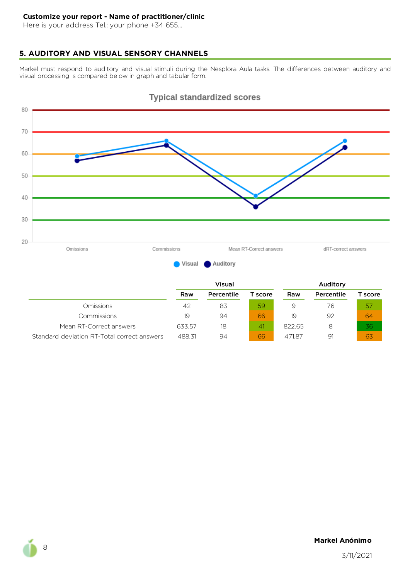Here is your address Tel.: your phone +34 655...

# **5. AUDITORY AND VISUAL SENSORY CHANNELS**

Markel must respond to auditory and visual stimuli during the Nesplora Aula tasks. The differences between auditory and visual processing is compared below in graph and tabular form.



# **Typical standardized scores**

|                                             | Visual |            |                 |        | Auditory   |         |  |  |
|---------------------------------------------|--------|------------|-----------------|--------|------------|---------|--|--|
|                                             | Raw    | Percentile | T score         | Raw    | Percentile | T score |  |  |
| <b>Omissions</b>                            | 42     | 83         | 59              | 9      | 76         | 57      |  |  |
| Commissions                                 | 19     | 94         | 66              | 19     | 92         | 64      |  |  |
| Mean RT-Correct answers                     | 633.57 | 18         | $\mathcal{A}$ 1 | 822.65 | 8          | 36      |  |  |
| Standard deviation RT-Total correct answers | 488.31 | 94         | 66              | 471.87 | 91         | 63      |  |  |

### **Markel Anónimo**

3/11/2021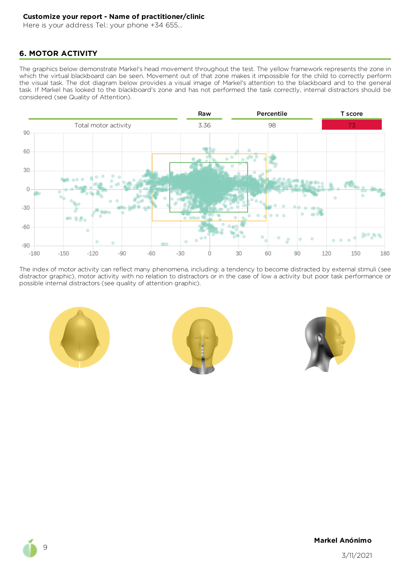Here is your address Tel.: your phone +34 655...

# **6. MOTOR ACTIVITY**

The graphics below demonstrate Markel's head movement throughout the test. The yellow framework represents the zone in which the virtual blackboard can be seen. Movement out of that zone makes it impossible for the child to correctly perform the visual task. The dot diagram below provides a visual image of Markel's attention to the blackboard and to the general task. If Markel has looked to the blackboard's zone and has not performed the task correctly, internal distractors should be considered (see Quality of Attention).



The index of motor activity can reflect many phenomena, including: a tendency to become distracted by external stimuli (see distractor graphic), motor activity with no relation to distractors or in the case of low a activity but poor task performance or possible internal distractors (see quality of attention graphic).







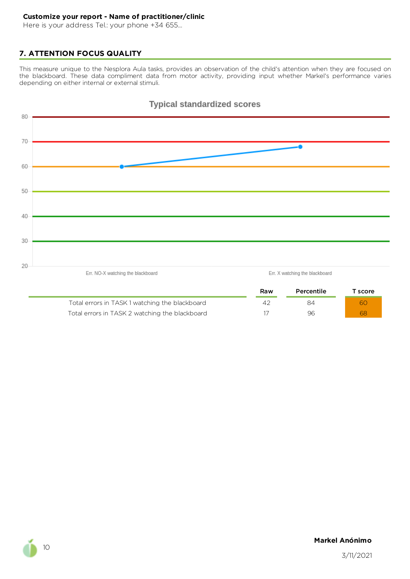Here is your address Tel.: your phone +34 655...

# **7. ATTENTION FOCUS QUALITY**

This measure unique to the Nesplora Aula tasks, provides an observation of the child's attention when they are focused on the blackboard. These data compliment data from motor activity, providing input whether Markel's performance varies depending on either internal or external stimuli.



Total errors in TASK 2 watching the blackboard 17 17 196 1986 1996 1996 1997 1998 1998 1998 1999 1999 1999 199